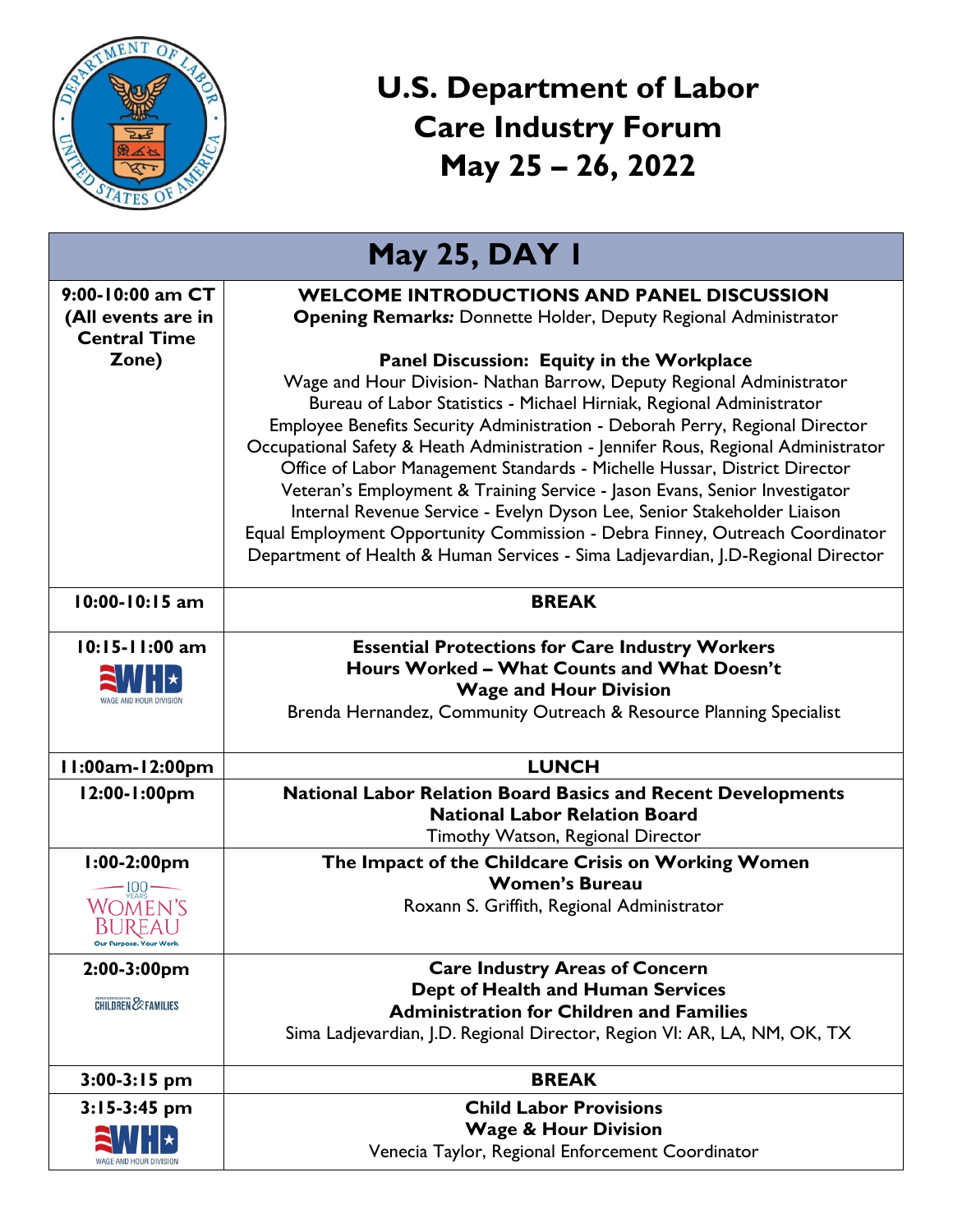

## **U.S. Department of Labor Care Industry Forum May 25 – 26, 2022**

| <b>May 25, DAY I</b>                                                       |                                                                                                                                                                                                                                                                                                                                                                                                                                                                                                                                                                                                                                                                                                                                                                           |  |
|----------------------------------------------------------------------------|---------------------------------------------------------------------------------------------------------------------------------------------------------------------------------------------------------------------------------------------------------------------------------------------------------------------------------------------------------------------------------------------------------------------------------------------------------------------------------------------------------------------------------------------------------------------------------------------------------------------------------------------------------------------------------------------------------------------------------------------------------------------------|--|
| 9:00-10:00 am CT<br>(All events are in<br><b>Central Time</b>              | <b>WELCOME INTRODUCTIONS AND PANEL DISCUSSION</b><br><b>Opening Remarks:</b> Donnette Holder, Deputy Regional Administrator                                                                                                                                                                                                                                                                                                                                                                                                                                                                                                                                                                                                                                               |  |
| Zone)                                                                      | Panel Discussion: Equity in the Workplace<br>Wage and Hour Division- Nathan Barrow, Deputy Regional Administrator<br>Bureau of Labor Statistics - Michael Hirniak, Regional Administrator<br>Employee Benefits Security Administration - Deborah Perry, Regional Director<br>Occupational Safety & Heath Administration - Jennifer Rous, Regional Administrator<br>Office of Labor Management Standards - Michelle Hussar, District Director<br>Veteran's Employment & Training Service - Jason Evans, Senior Investigator<br>Internal Revenue Service - Evelyn Dyson Lee, Senior Stakeholder Liaison<br>Equal Employment Opportunity Commission - Debra Finney, Outreach Coordinator<br>Department of Health & Human Services - Sima Ladjevardian, J.D-Regional Director |  |
| 10:00-10:15 am                                                             | <b>BREAK</b>                                                                                                                                                                                                                                                                                                                                                                                                                                                                                                                                                                                                                                                                                                                                                              |  |
| 10:15-11:00 am                                                             | <b>Essential Protections for Care Industry Workers</b><br>Hours Worked - What Counts and What Doesn't<br><b>Wage and Hour Division</b><br>Brenda Hernandez, Community Outreach & Resource Planning Specialist                                                                                                                                                                                                                                                                                                                                                                                                                                                                                                                                                             |  |
| I I:00am-12:00pm                                                           | <b>LUNCH</b>                                                                                                                                                                                                                                                                                                                                                                                                                                                                                                                                                                                                                                                                                                                                                              |  |
| 12:00-1:00pm                                                               | <b>National Labor Relation Board Basics and Recent Developments</b><br><b>National Labor Relation Board</b><br>Timothy Watson, Regional Director                                                                                                                                                                                                                                                                                                                                                                                                                                                                                                                                                                                                                          |  |
| $1:00-2:00$ pm<br>$-100$ —<br>WOMEN'S<br>BUREAU<br>Our Purpose. Your Work. | The Impact of the Childcare Crisis on Working Women<br><b>Women's Bureau</b><br>Roxann S. Griffith, Regional Administrator                                                                                                                                                                                                                                                                                                                                                                                                                                                                                                                                                                                                                                                |  |
| $2:00-3:00$ pm<br><b>CHILDREN &amp; FAMILIES</b>                           | <b>Care Industry Areas of Concern</b><br>Dept of Health and Human Services<br><b>Administration for Children and Families</b><br>Sima Ladjevardian, J.D. Regional Director, Region VI: AR, LA, NM, OK, TX                                                                                                                                                                                                                                                                                                                                                                                                                                                                                                                                                                 |  |
| $3:00-3:15$ pm                                                             | <b>BREAK</b>                                                                                                                                                                                                                                                                                                                                                                                                                                                                                                                                                                                                                                                                                                                                                              |  |
| $3:15-3:45$ pm                                                             | <b>Child Labor Provisions</b><br><b>Wage &amp; Hour Division</b><br>Venecia Taylor, Regional Enforcement Coordinator                                                                                                                                                                                                                                                                                                                                                                                                                                                                                                                                                                                                                                                      |  |